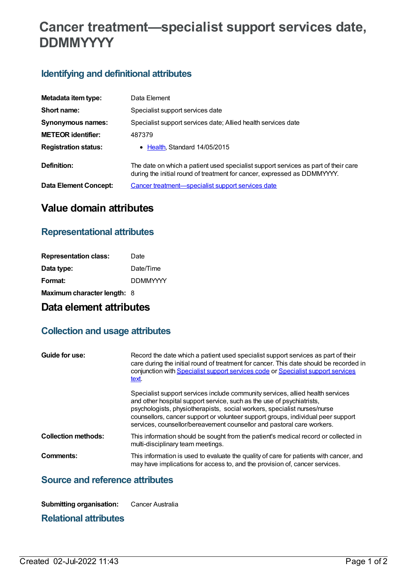# **Cancer treatment—specialist support services date, DDMMYYYY**

## **Identifying and definitional attributes**

| Metadata item type:         | Data Element                                                                                                                                                   |
|-----------------------------|----------------------------------------------------------------------------------------------------------------------------------------------------------------|
| Short name:                 | Specialist support services date                                                                                                                               |
| Synonymous names:           | Specialist support services date; Allied health services date                                                                                                  |
| <b>METEOR identifier:</b>   | 487379                                                                                                                                                         |
| <b>Registration status:</b> | • Health, Standard 14/05/2015                                                                                                                                  |
| Definition:                 | The date on which a patient used specialist support services as part of their care<br>during the initial round of treatment for cancer, expressed as DDMMYYYY. |
| Data Element Concept:       | Cancer treatment—specialist support services date                                                                                                              |

# **Value domain attributes**

#### **Representational attributes**

| <b>Representation class:</b> | Date            |
|------------------------------|-----------------|
| Data type:                   | Date/Time       |
| Format:                      | <b>DDMMYYYY</b> |
| Maximum character length: 8  |                 |

## **Data element attributes**

#### **Collection and usage attributes**

| Guide for use:             | Record the date which a patient used specialist support services as part of their<br>care during the initial round of treatment for cancer. This date should be recorded in<br>conjunction with Specialist support services code or Specialist support services<br>text.                                                                                                                          |
|----------------------------|---------------------------------------------------------------------------------------------------------------------------------------------------------------------------------------------------------------------------------------------------------------------------------------------------------------------------------------------------------------------------------------------------|
|                            | Specialist support services include community services, allied health services<br>and other hospital support service, such as the use of psychiatrists,<br>psychologists, physiotherapists, social workers, specialist nurses/nurse<br>counsellors, cancer support or volunteer support groups, individual peer support<br>services, counsellor/bereavement counsellor and pastoral care workers. |
| <b>Collection methods:</b> | This information should be sought from the patient's medical record or collected in<br>multi-disciplinary team meetings.                                                                                                                                                                                                                                                                          |
| Comments:                  | This information is used to evaluate the quality of care for patients with cancer, and<br>may have implications for access to, and the provision of, cancer services.                                                                                                                                                                                                                             |

### **Source and reference attributes**

**Submitting organisation:** Cancer Australia

#### **Relational attributes**